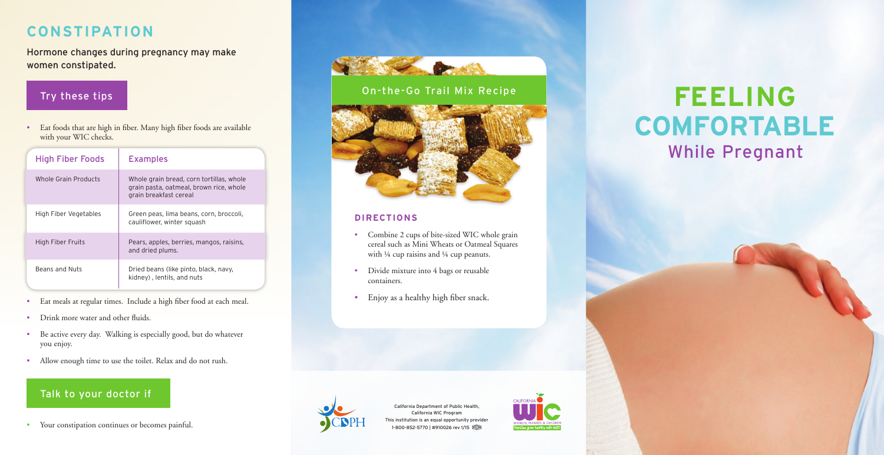## **CONSTIPATION**

Hormone changes during pregnancy may make women constipated.

## Try these tips

• Eat foods that are high in fiber. Many high fiber foods are available with your WIC checks.

| <b>High Fiber Foods</b> | <b>Examples</b>                                                                                               |
|-------------------------|---------------------------------------------------------------------------------------------------------------|
| Whole Grain Products    | Whole grain bread, corn tortillas, whole<br>grain pasta, oatmeal, brown rice, whole<br>grain breakfast cereal |
| High Fiber Vegetables   | Green peas, lima beans, corn, broccoli,<br>cauliflower, winter squash                                         |
| High Fiber Fruits       | Pears, apples, berries, mangos, raisins,<br>and dried plums.                                                  |
| Beans and Nuts          | Dried beans (like pinto, black, navy,<br>kidney), lentils, and nuts                                           |

- Eat meals at regular times. Include a high fiber food at each meal.
- Drink more water and other fluids.
- Be active every day. Walking is especially good, but do whatever you enjoy.
- Allow enough time to use the toilet. Relax and do not rush.

### Talk to your doctor if

• Your constipation continues or becomes painful.



# **FEELING COMFORTABLE** While Pregnant

### On-the-Go Trail Mix Recipe



### **DIRECTIONS**

- Combine 2 cups of bite-sized WIC whole grain cereal such as Mini Wheats or Oatmeal Squares with ¼ cup raisins and ¼ cup peanuts.
- Divide mixture into 4 bags or reusable containers.
- Enjoy as a healthy high fiber snack.



California Department of Public Health, California WIC Program This institution is an equal opportunity provider 1-800-852-5770 | #910026 rev 1/15